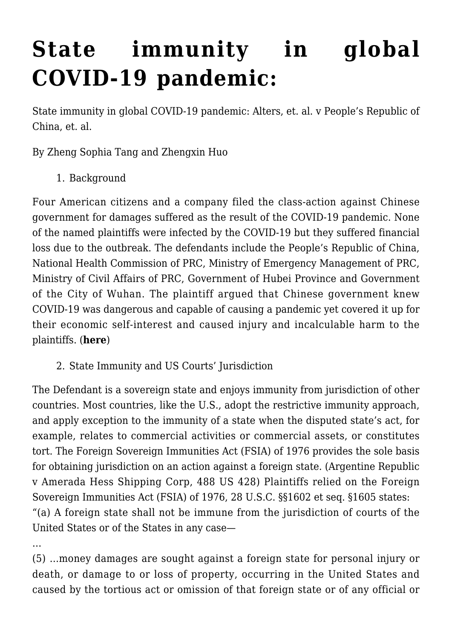## **[State immunity in global](https://conflictoflaws.net/2020/state-immunity-in-global-covid-19-pandemic/) [COVID-19 pandemic:](https://conflictoflaws.net/2020/state-immunity-in-global-covid-19-pandemic/)**

State immunity in global COVID-19 pandemic: Alters, et. al. v People's Republic of China, et. al.

By Zheng Sophia Tang and Zhengxin Huo

1. Background

Four American citizens and a company filed the class-action against Chinese government for damages suffered as the result of the COVID-19 pandemic. None of the named plaintiffs were infected by the COVID-19 but they suffered financial loss due to the outbreak. The defendants include the People's Republic of China, National Health Commission of PRC, Ministry of Emergency Management of PRC, Ministry of Civil Affairs of PRC, Government of Hubei Province and Government of the City of Wuhan. The plaintiff argued that Chinese government knew COVID-19 was dangerous and capable of causing a pandemic yet covered it up for their economic self-interest and caused injury and incalculable harm to the plaintiffs. (**[here](https://dockets.justia.com/docket/florida/flsdce/1:2020cv21108/568281)**)

2. State Immunity and US Courts' Jurisdiction

The Defendant is a sovereign state and enjoys immunity from jurisdiction of other countries. Most countries, like the U.S., adopt the restrictive immunity approach, and apply exception to the immunity of a state when the disputed state's act, for example, relates to commercial activities or commercial assets, or constitutes tort. The Foreign Sovereign Immunities Act (FSIA) of 1976 provides the sole basis for obtaining jurisdiction on an action against a foreign state. (Argentine Republic v Amerada Hess Shipping Corp, 488 US 428) Plaintiffs relied on the Foreign Sovereign Immunities Act (FSIA) of 1976, 28 U.S.C. §§1602 et seq. §1605 states: "(a) A foreign state shall not be immune from the jurisdiction of courts of the United States or of the States in any case—

…

(5) …money damages are sought against a foreign state for personal injury or death, or damage to or loss of property, occurring in the United States and caused by the tortious act or omission of that foreign state or of any official or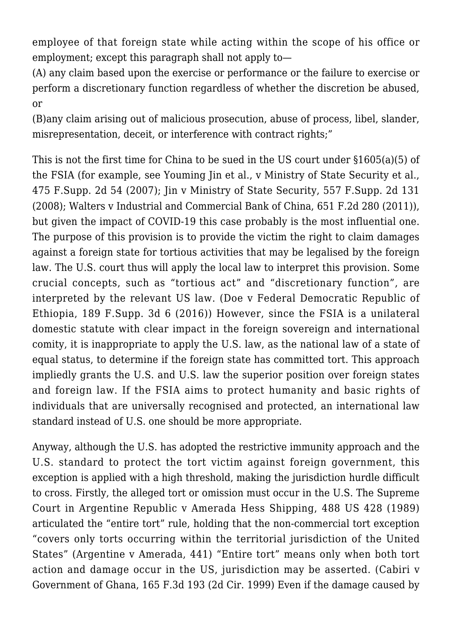employee of that foreign state while acting within the scope of his office or employment; except this paragraph shall not apply to—

(A) any claim based upon the exercise or performance or the failure to exercise or perform a discretionary function regardless of whether the discretion be abused, or

(B)any claim arising out of malicious prosecution, abuse of process, libel, slander, misrepresentation, deceit, or interference with contract rights;"

This is not the first time for China to be sued in the US court under §1605(a)(5) of the FSIA (for example, see Youming Jin et al., v Ministry of State Security et al., 475 F.Supp. 2d 54 (2007); Jin v Ministry of State Security, 557 F.Supp. 2d 131 (2008); Walters v Industrial and Commercial Bank of China, 651 F.2d 280 (2011)), but given the impact of COVID-19 this case probably is the most influential one. The purpose of this provision is to provide the victim the right to claim damages against a foreign state for tortious activities that may be legalised by the foreign law. The U.S. court thus will apply the local law to interpret this provision. Some crucial concepts, such as "tortious act" and "discretionary function", are interpreted by the relevant US law. (Doe v Federal Democratic Republic of Ethiopia, 189 F.Supp. 3d 6 (2016)) However, since the FSIA is a unilateral domestic statute with clear impact in the foreign sovereign and international comity, it is inappropriate to apply the U.S. law, as the national law of a state of equal status, to determine if the foreign state has committed tort. This approach impliedly grants the U.S. and U.S. law the superior position over foreign states and foreign law. If the FSIA aims to protect humanity and basic rights of individuals that are universally recognised and protected, an international law standard instead of U.S. one should be more appropriate.

Anyway, although the U.S. has adopted the restrictive immunity approach and the U.S. standard to protect the tort victim against foreign government, this exception is applied with a high threshold, making the jurisdiction hurdle difficult to cross. Firstly, the alleged tort or omission must occur in the U.S. The Supreme Court in Argentine Republic v Amerada Hess Shipping, 488 US 428 (1989) articulated the "entire tort" rule, holding that the non-commercial tort exception "covers only torts occurring within the territorial jurisdiction of the United States" (Argentine v Amerada, 441) "Entire tort" means only when both tort action and damage occur in the US, jurisdiction may be asserted. (Cabiri v Government of Ghana, 165 F.3d 193 (2d Cir. 1999) Even if the damage caused by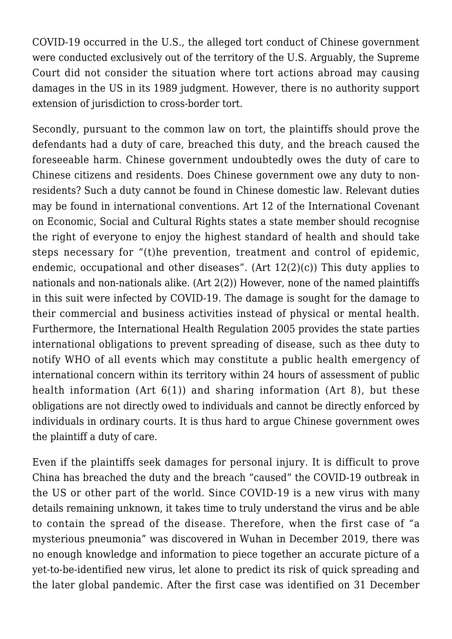COVID-19 occurred in the U.S., the alleged tort conduct of Chinese government were conducted exclusively out of the territory of the U.S. Arguably, the Supreme Court did not consider the situation where tort actions abroad may causing damages in the US in its 1989 judgment. However, there is no authority support extension of jurisdiction to cross-border tort.

Secondly, pursuant to the common law on tort, the plaintiffs should prove the defendants had a duty of care, breached this duty, and the breach caused the foreseeable harm. Chinese government undoubtedly owes the duty of care to Chinese citizens and residents. Does Chinese government owe any duty to nonresidents? Such a duty cannot be found in Chinese domestic law. Relevant duties may be found in international conventions. Art 12 of the International Covenant on Economic, Social and Cultural Rights states a state member should recognise the right of everyone to enjoy the highest standard of health and should take steps necessary for "(t)he prevention, treatment and control of epidemic, endemic, occupational and other diseases". (Art 12(2)(c)) This duty applies to nationals and non-nationals alike. (Art 2(2)) However, none of the named plaintiffs in this suit were infected by COVID-19. The damage is sought for the damage to their commercial and business activities instead of physical or mental health. Furthermore, the International Health Regulation 2005 provides the state parties international obligations to prevent spreading of disease, such as thee duty to notify WHO of all events which may constitute a public health emergency of international concern within its territory within 24 hours of assessment of public health information (Art 6(1)) and sharing information (Art 8), but these obligations are not directly owed to individuals and cannot be directly enforced by individuals in ordinary courts. It is thus hard to argue Chinese government owes the plaintiff a duty of care.

Even if the plaintiffs seek damages for personal injury. It is difficult to prove China has breached the duty and the breach "caused" the COVID-19 outbreak in the US or other part of the world. Since COVID-19 is a new virus with many details remaining unknown, it takes time to truly understand the virus and be able to contain the spread of the disease. Therefore, when the first case of "a mysterious pneumonia" was discovered in Wuhan in December 2019, there was no enough knowledge and information to piece together an accurate picture of a yet-to-be-identified new virus, let alone to predict its risk of quick spreading and the later global pandemic. After the first case was identified on 31 December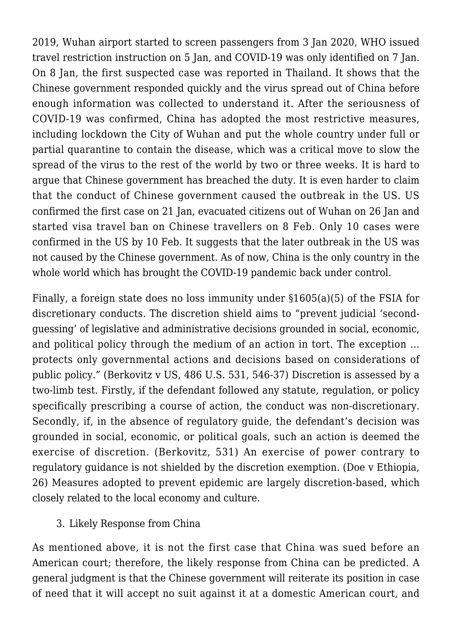2019, Wuhan airport started to screen passengers from 3 Jan 2020, WHO issued travel restriction instruction on 5 Jan, and COVID-19 was only identified on 7 Jan. On 8 Jan, the first suspected case was reported in Thailand. It shows that the Chinese government responded quickly and the virus spread out of China before enough information was collected to understand it. After the seriousness of COVID-19 was confirmed, China has adopted the most restrictive measures, including lockdown the City of Wuhan and put the whole country under full or partial quarantine to contain the disease, which was a critical move to slow the spread of the virus to the rest of the world by two or three weeks. It is hard to argue that Chinese government has breached the duty. It is even harder to claim that the conduct of Chinese government caused the outbreak in the US. US confirmed the first case on 21 Jan, evacuated citizens out of Wuhan on 26 Jan and started visa travel ban on Chinese travellers on 8 Feb. Only 10 cases were confirmed in the US by 10 Feb. It suggests that the later outbreak in the US was not caused by the Chinese government. As of now, China is the only country in the whole world which has brought the COVID-19 pandemic back under control.

Finally, a foreign state does no loss immunity under §1605(a)(5) of the FSIA for discretionary conducts. The discretion shield aims to "prevent judicial 'secondguessing' of legislative and administrative decisions grounded in social, economic, and political policy through the medium of an action in tort. The exception … protects only governmental actions and decisions based on considerations of public policy." (Berkovitz v US, 486 U.S. 531, 546-37) Discretion is assessed by a two-limb test. Firstly, if the defendant followed any statute, regulation, or policy specifically prescribing a course of action, the conduct was non-discretionary. Secondly, if, in the absence of regulatory guide, the defendant's decision was grounded in social, economic, or political goals, such an action is deemed the exercise of discretion. (Berkovitz, 531) An exercise of power contrary to regulatory guidance is not shielded by the discretion exemption. (Doe v Ethiopia, 26) Measures adopted to prevent epidemic are largely discretion-based, which closely related to the local economy and culture.

## 3. Likely Response from China

As mentioned above, it is not the first case that China was sued before an American court; therefore, the likely response from China can be predicted. A general judgment is that the Chinese government will reiterate its position in case of need that it will accept no suit against it at a domestic American court, and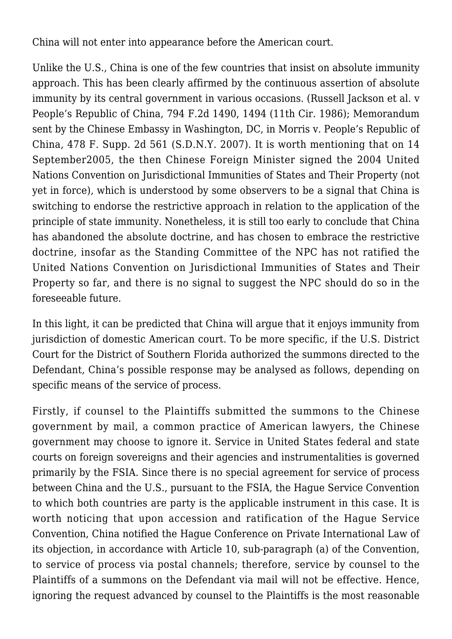China will not enter into appearance before the American court.

Unlike the U.S., China is one of the few countries that insist on absolute immunity approach. This has been clearly affirmed by the continuous assertion of absolute immunity by its central government in various occasions. (Russell Jackson et al. v People's Republic of China, 794 F.2d 1490, 1494 (11th Cir. 1986); Memorandum sent by the Chinese Embassy in Washington, DC, in Morris v. People's Republic of China, 478 F. Supp. 2d 561 (S.D.N.Y. 2007). It is worth mentioning that on 14 September2005, the then Chinese Foreign Minister signed the 2004 United Nations Convention on Jurisdictional Immunities of States and Their Property (not yet in force), which is understood by some observers to be a signal that China is switching to endorse the restrictive approach in relation to the application of the principle of state immunity. Nonetheless, it is still too early to conclude that China has abandoned the absolute doctrine, and has chosen to embrace the restrictive doctrine, insofar as the Standing Committee of the NPC has not ratified the United Nations Convention on Jurisdictional Immunities of States and Their Property so far, and there is no signal to suggest the NPC should do so in the foreseeable future.

In this light, it can be predicted that China will argue that it enjoys immunity from jurisdiction of domestic American court. To be more specific, if the U.S. District Court for the District of Southern Florida authorized the summons directed to the Defendant, China's possible response may be analysed as follows, depending on specific means of the service of process.

Firstly, if counsel to the Plaintiffs submitted the summons to the Chinese government by mail, a common practice of American lawyers, the Chinese government may choose to ignore it. Service in United States federal and state courts on foreign sovereigns and their agencies and instrumentalities is governed primarily by the FSIA. Since there is no special agreement for service of process between China and the U.S., pursuant to the FSIA, the Hague Service Convention to which both countries are party is the applicable instrument in this case. It is worth noticing that upon accession and ratification of the Hague Service Convention, China notified the Hague Conference on Private International Law of its objection, in accordance with Article 10, sub-paragraph (a) of the Convention, to service of process via postal channels; therefore, service by counsel to the Plaintiffs of a summons on the Defendant via mail will not be effective. Hence, ignoring the request advanced by counsel to the Plaintiffs is the most reasonable